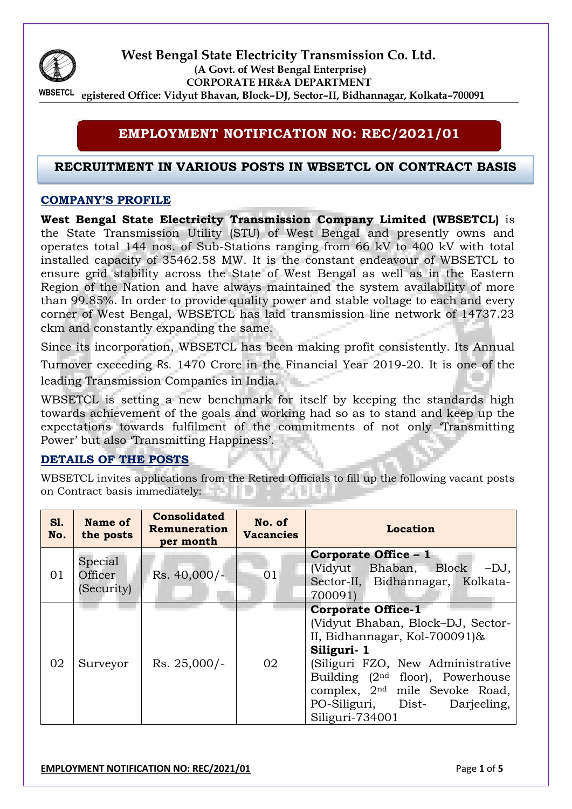

**West Bengal State Electricity Transmission Co. Ltd. (A Govt. of West Bengal Enterprise) CORPORATE HR&A DEPARTMENT Registered Office: Vidyut Bhavan, Block–DJ, Sector–II, Bidhannagar, Kolkata–700091 WBSETCL** 

# **EMPLOYMENT NOTIFICATION NO: REC/2021/01**

### **RECRUITMENT IN VARIOUS POSTS IN WBSETCL ON CONTRACT BASIS**

### **COMPANY'S PROFILE**

**West Bengal State Electricity Transmission Company Limited (WBSETCL)** is the State Transmission Utility (STU) of West Bengal and presently owns and operates total 144 nos. of Sub-Stations ranging from 66 kV to 400 kV with total installed capacity of 35462.58 MW. It is the constant endeavour of WBSETCL to ensure grid stability across the State of West Bengal as well as in the Eastern Region of the Nation and have always maintained the system availability of more than 99.85%. In order to provide quality power and stable voltage to each and every corner of West Bengal, WBSETCL has laid transmission line network of 14737.23 ckm and constantly expanding the same.

Since its incorporation, WBSETCL has been making profit consistently. Its Annual Turnover exceeding Rs. 1470 Crore in the Financial Year 2019-20. It is one of the leading Transmission Companies in India.

WBSETCL is setting a new benchmark for itself by keeping the standards high towards achievement of the goals and working had so as to stand and keep up the expectations towards fulfilment of the commitments of not only 'Transmitting Power' but also 'Transmitting Happiness'.

#### **DETAILS OF THE POSTS**

WBSETCL invites applications from the Retired Officials to fill up the following vacant posts on Contract basis immediately: 

| SI.<br>No. | Name of<br>the posts             | <b>Consolidated</b><br>Remuneration<br>per month | No. of<br><b>Vacancies</b> | Location                                                                                                                                                                                                                                                                                       |
|------------|----------------------------------|--------------------------------------------------|----------------------------|------------------------------------------------------------------------------------------------------------------------------------------------------------------------------------------------------------------------------------------------------------------------------------------------|
| 01         | Special<br>Officer<br>(Security) | $Rs. 40,000/-$                                   | 01                         | <b>Corporate Office - 1</b><br>(Vidyut Bhaban, Block<br>$-DJ$ ,<br>Sector-II, Bidhannagar, Kolkata-<br>700091)                                                                                                                                                                                 |
| 02         | Surveyor                         | $Rs. 25,000/-$                                   | 02                         | <b>Corporate Office-1</b><br>(Vidyut Bhaban, Block-DJ, Sector-<br>II, Bidhannagar, Kol-700091)&<br>Siliguri-1<br>(Siliguri FZO, New Administrative<br>Building $(2nd$ floor), Powerhouse<br>complex, 2 <sup>nd</sup> mile Sevoke Road,<br>PO-Siliguri, Dist-<br>Darjeeling,<br>Siliguri-734001 |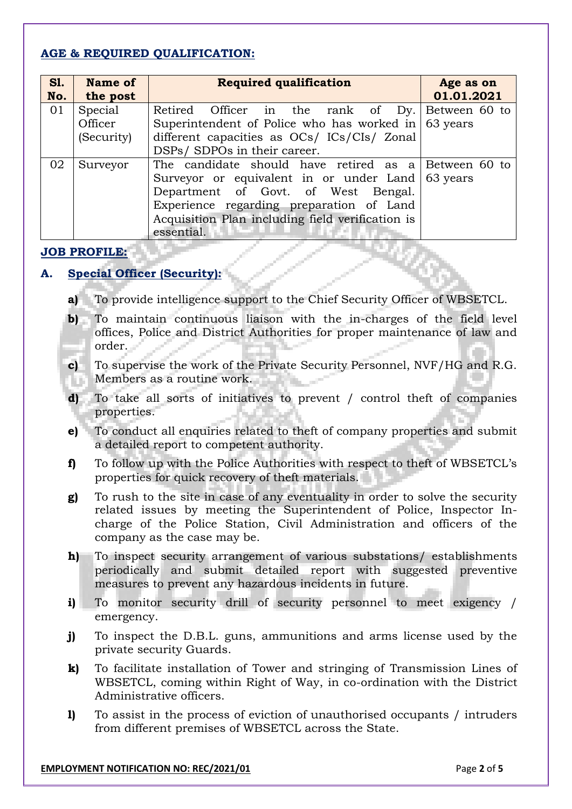## **AGE & REQUIRED QUALIFICATION:**

| <b>S1.</b> | <b>Name of</b> | <b>Required qualification</b>                               | Age as on  |  |  |  |
|------------|----------------|-------------------------------------------------------------|------------|--|--|--|
| No.        | the post       |                                                             | 01.01.2021 |  |  |  |
| 01         | Special        | Retired Officer in the rank of Dy. Between 60 to            |            |  |  |  |
|            | Officer        | Superintendent of Police who has worked in $\vert$ 63 years |            |  |  |  |
|            | (Security)     | different capacities as OCs/ ICs/CIs/ Zonal                 |            |  |  |  |
|            |                | DSPs/ SDPOs in their career.                                |            |  |  |  |
| 02         | Surveyor       | The candidate should have retired as a Between 60 to        |            |  |  |  |
|            |                | Surveyor or equivalent in or under Land 63 years            |            |  |  |  |
|            |                | Department of Govt. of West Bengal.                         |            |  |  |  |
|            |                | Experience regarding preparation of Land                    |            |  |  |  |
|            |                | Acquisition Plan including field verification is            |            |  |  |  |
|            |                | essential.                                                  |            |  |  |  |

### **JOB PROFILE:**

# **A. Special Officer (Security):**

- **a)** To provide intelligence support to the Chief Security Officer of WBSETCL.
- **b)** To maintain continuous liaison with the in-charges of the field level offices, Police and District Authorities for proper maintenance of law and order.
- **c)** To supervise the work of the Private Security Personnel, NVF/HG and R.G. Members as a routine work. 11
- **d)** To take all sorts of initiatives to prevent / control theft of companies properties.
- **e)** To conduct all enquiries related to theft of company properties and submit a detailed report to competent authority.
- **f)** To follow up with the Police Authorities with respect to theft of WBSETCL's properties for quick recovery of theft materials.
- **g)** To rush to the site in case of any eventuality in order to solve the security related issues by meeting the Superintendent of Police, Inspector Incharge of the Police Station, Civil Administration and officers of the company as the case may be.
- **h)** To inspect security arrangement of various substations/ establishments periodically and submit detailed report with suggested preventive measures to prevent any hazardous incidents in future.
- **i)** To monitor security drill of security personnel to meet exigency / emergency.
- **j)** To inspect the D.B.L. guns, ammunitions and arms license used by the private security Guards.
- **k)** To facilitate installation of Tower and stringing of Transmission Lines of WBSETCL, coming within Right of Way, in co-ordination with the District Administrative officers.
- **l)** To assist in the process of eviction of unauthorised occupants / intruders from different premises of WBSETCL across the State.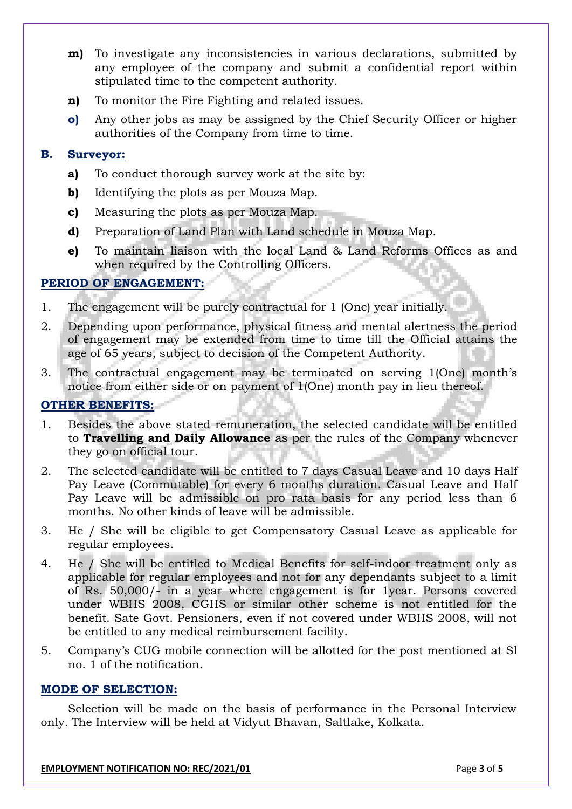- **m**) To investigate any inconsistencies in various declarations, submitted by any employee of the company and submit a confidential report within stipulated time to the competent authority.
- **n)** To monitor the Fire Fighting and related issues.
- **o)** Any other jobs as may be assigned by the Chief Security Officer or higher authorities of the Company from time to time.

#### **B. Surveyor:**

- **a)** To conduct thorough survey work at the site by:
- **b)** Identifying the plots as per Mouza Map.
- **c)** Measuring the plots as per Mouza Map.
- **d)** Preparation of Land Plan with Land schedule in Mouza Map.
- **e)** To maintain liaison with the local Land & Land Reforms Offices as and when required by the Controlling Officers.

### **PERIOD OF ENGAGEMENT:**

- 1. The engagement will be purely contractual for 1 (One) year initially.
- 2. Depending upon performance, physical fitness and mental alertness the period of engagement may be extended from time to time till the Official attains the age of 65 years, subject to decision of the Competent Authority.
- 3. The contractual engagement may be terminated on serving 1(One) month's notice from either side or on payment of 1(One) month pay in lieu thereof.

#### **OTHER BENEFITS:**

- 1. Besides the above stated remuneration, the selected candidate will be entitled to **Travelling and Daily Allowance** as per the rules of the Company whenever they go on official tour.
- 2. The selected candidate will be entitled to 7 days Casual Leave and 10 days Half Pay Leave (Commutable) for every 6 months duration. Casual Leave and Half Pay Leave will be admissible on pro rata basis for any period less than 6 months. No other kinds of leave will be admissible.
- 3. He / She will be eligible to get Compensatory Casual Leave as applicable for regular employees.
- 4. He / She will be entitled to Medical Benefits for self-indoor treatment only as applicable for regular employees and not for any dependants subject to a limit of Rs. 50,000/- in a year where engagement is for 1year. Persons covered under WBHS 2008, CGHS or similar other scheme is not entitled for the benefit. Sate Govt. Pensioners, even if not covered under WBHS 2008, will not be entitled to any medical reimbursement facility.
- 5. Company's CUG mobile connection will be allotted for the post mentioned at Sl no. 1 of the notification.

#### **MODE OF SELECTION:**

Selection will be made on the basis of performance in the Personal Interview only*.* The Interview will be held at Vidyut Bhavan, Saltlake, Kolkata.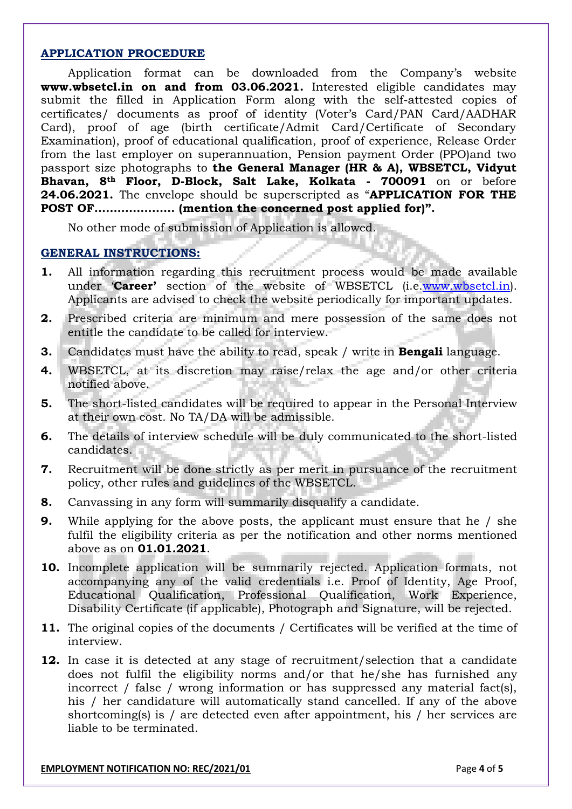#### **APPLICATION PROCEDURE**

Application format can be downloaded from the Company's website **www.wbsetcl.in on and from 03.06.2021.** Interested eligible candidates may submit the filled in Application Form along with the self-attested copies of certificates/ documents as proof of identity (Voter's Card/PAN Card/AADHAR Card), proof of age (birth certificate/Admit Card/Certificate of Secondary Examination), proof of educational qualification, proof of experience, Release Order from the last employer on superannuation, Pension payment Order (PPO)and two passport size photographs to **the General Manager (HR & A), WBSETCL, Vidyut Bhavan, 8th Floor, D-Block, Salt Lake, Kolkata - 700091** on or before **24.06.2021.** The envelope should be superscripted as "**APPLICATION FOR THE POST OF………………… (mention the concerned post applied for)".**

No other mode of submission of Application is allowed.

#### **GENERAL INSTRUCTIONS:**

- **1.** All information regarding this recruitment process would be made available under '**Career'** section of the website of WBSETCL (i.e[.www.wbsetcl.in\)](http://www.wbsetcl.in/). Applicants are advised to check the website periodically for important updates.
- **2.** Prescribed criteria are minimum and mere possession of the same does not entitle the candidate to be called for interview.
- **3.** Candidates must have the ability to read, speak / write in **Bengali** language.
- **4.** WBSETCL, at its discretion may raise/relax the age and/or other criteria notified above.
- **5.** The short-listed candidates will be required to appear in the Personal Interview at their own cost. No TA/DA will be admissible.
- **6.** The details of interview schedule will be duly communicated to the short-listed candidates.
- **7.** Recruitment will be done strictly as per merit in pursuance of the recruitment policy, other rules and guidelines of the WBSETCL.
- **8.** Canvassing in any form will summarily disqualify a candidate.
- **9.** While applying for the above posts, the applicant must ensure that he / she fulfil the eligibility criteria as per the notification and other norms mentioned above as on **01.01.2021**.
- **10.** Incomplete application will be summarily rejected. Application formats, not accompanying any of the valid credentials i.e. Proof of Identity, Age Proof, Educational Qualification, Professional Qualification, Work Experience, Disability Certificate (if applicable), Photograph and Signature, will be rejected.
- **11.** The original copies of the documents / Certificates will be verified at the time of interview.
- **12.** In case it is detected at any stage of recruitment/selection that a candidate does not fulfil the eligibility norms and/or that he/she has furnished any incorrect / false / wrong information or has suppressed any material fact(s), his / her candidature will automatically stand cancelled. If any of the above shortcoming(s) is / are detected even after appointment, his / her services are liable to be terminated.